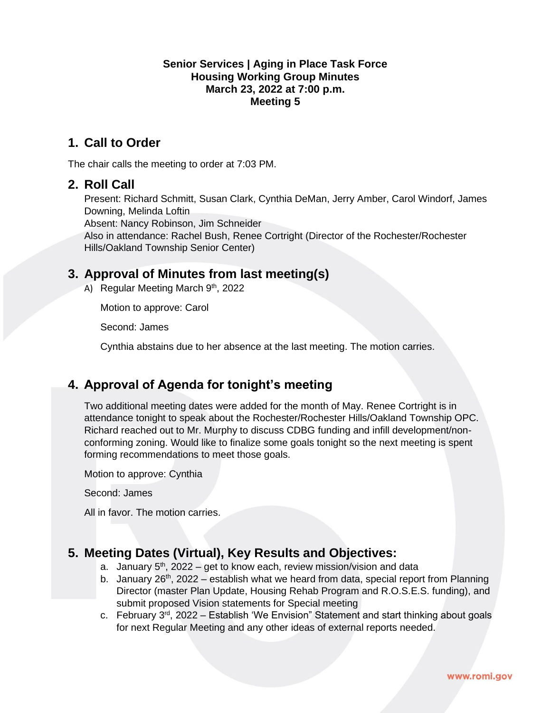#### **Senior Services | Aging in Place Task Force Housing Working Group Minutes March 23, 2022 at 7:00 p.m. Meeting 5**

### **1. Call to Order**

The chair calls the meeting to order at 7:03 PM.

### **2. Roll Call**

Present: Richard Schmitt, Susan Clark, Cynthia DeMan, Jerry Amber, Carol Windorf, James Downing, Melinda Loftin

Absent: Nancy Robinson, Jim Schneider

Also in attendance: Rachel Bush, Renee Cortright (Director of the Rochester/Rochester Hills/Oakland Township Senior Center)

### **3. Approval of Minutes from last meeting(s)**

A) Regular Meeting March  $9<sup>th</sup>$ , 2022

Motion to approve: Carol

Second: James

Cynthia abstains due to her absence at the last meeting. The motion carries.

## **4. Approval of Agenda for tonight's meeting**

Two additional meeting dates were added for the month of May. Renee Cortright is in attendance tonight to speak about the Rochester/Rochester Hills/Oakland Township OPC. Richard reached out to Mr. Murphy to discuss CDBG funding and infill development/nonconforming zoning. Would like to finalize some goals tonight so the next meeting is spent forming recommendations to meet those goals.

Motion to approve: Cynthia

Second: James

All in favor. The motion carries.

### **5. Meeting Dates (Virtual), Key Results and Objectives:**

- a. January  $5<sup>th</sup>$ , 2022 get to know each, review mission/vision and data
- b. January 26<sup>th</sup>, 2022 establish what we heard from data, special report from Planning Director (master Plan Update, Housing Rehab Program and R.O.S.E.S. funding), and submit proposed Vision statements for Special meeting
- c. February  $3<sup>rd</sup>$ , 2022 Establish 'We Envision" Statement and start thinking about goals for next Regular Meeting and any other ideas of external reports needed.

www.romi.gov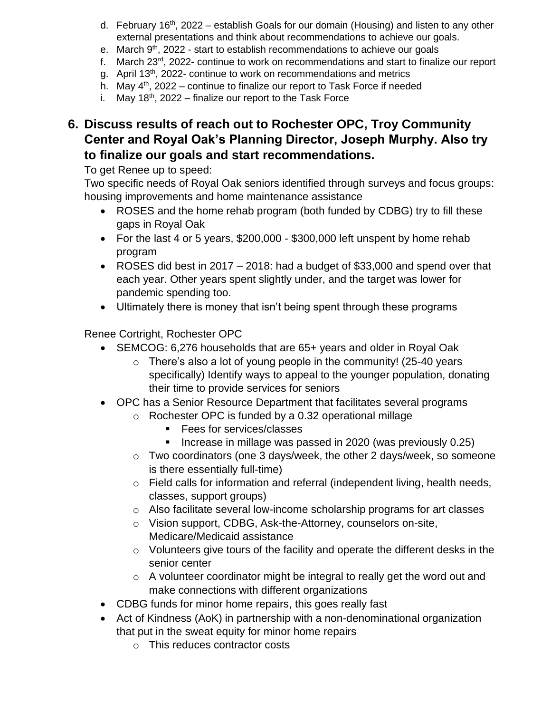- d. February 16<sup>th</sup>, 2022 establish Goals for our domain (Housing) and listen to any other external presentations and think about recommendations to achieve our goals.
- e. March 9<sup>th</sup>, 2022 start to establish recommendations to achieve our goals
- f. March  $23<sup>rd</sup>$ , 2022- continue to work on recommendations and start to finalize our report
- g. April 13<sup>th</sup>, 2022- continue to work on recommendations and metrics
- h. May  $4<sup>th</sup>$ , 2022 continue to finalize our report to Task Force if needed
- i. May  $18<sup>th</sup>$ , 2022 finalize our report to the Task Force
- **6. Discuss results of reach out to Rochester OPC, Troy Community Center and Royal Oak's Planning Director, Joseph Murphy. Also try to finalize our goals and start recommendations.**

To get Renee up to speed:

Two specific needs of Royal Oak seniors identified through surveys and focus groups: housing improvements and home maintenance assistance

- ROSES and the home rehab program (both funded by CDBG) try to fill these gaps in Royal Oak
- For the last 4 or 5 years, \$200,000 \$300,000 left unspent by home rehab program
- ROSES did best in 2017 2018: had a budget of \$33,000 and spend over that each year. Other years spent slightly under, and the target was lower for pandemic spending too.
- Ultimately there is money that isn't being spent through these programs

Renee Cortright, Rochester OPC

- SEMCOG: 6,276 households that are 65+ years and older in Royal Oak
	- o There's also a lot of young people in the community! (25-40 years specifically) Identify ways to appeal to the younger population, donating their time to provide services for seniors
- OPC has a Senior Resource Department that facilitates several programs
	- o Rochester OPC is funded by a 0.32 operational millage
		- Fees for services/classes
		- **EXED Increase in millage was passed in 2020 (was previously 0.25)**
	- o Two coordinators (one 3 days/week, the other 2 days/week, so someone is there essentially full-time)
	- $\circ$  Field calls for information and referral (independent living, health needs, classes, support groups)
	- o Also facilitate several low-income scholarship programs for art classes
	- o Vision support, CDBG, Ask-the-Attorney, counselors on-site, Medicare/Medicaid assistance
	- o Volunteers give tours of the facility and operate the different desks in the senior center
	- o A volunteer coordinator might be integral to really get the word out and make connections with different organizations
- CDBG funds for minor home repairs, this goes really fast
- Act of Kindness (AoK) in partnership with a non-denominational organization that put in the sweat equity for minor home repairs
	- o This reduces contractor costs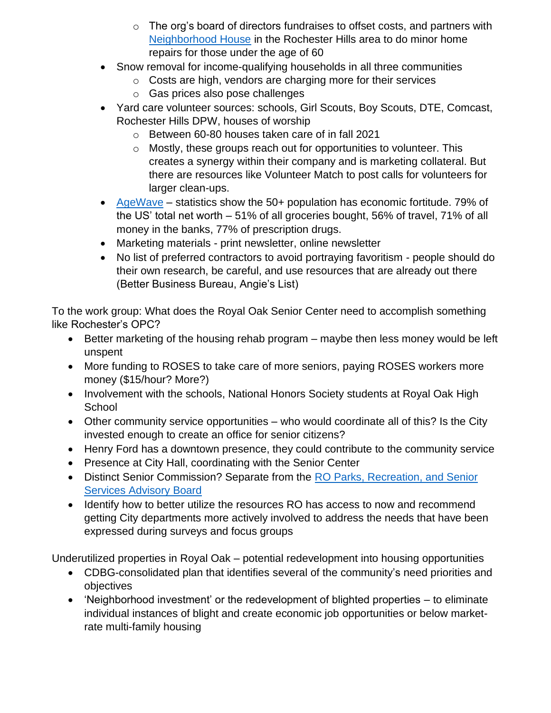- $\circ$  The org's board of directors fundraises to offset costs, and partners with [Neighborhood House](https://www.ranh.org/) in the Rochester Hills area to do minor home repairs for those under the age of 60
- Snow removal for income-qualifying households in all three communities
	- o Costs are high, vendors are charging more for their services
	- o Gas prices also pose challenges
- Yard care volunteer sources: schools, Girl Scouts, Boy Scouts, DTE, Comcast, Rochester Hills DPW, houses of worship
	- o Between 60-80 houses taken care of in fall 2021
	- o Mostly, these groups reach out for opportunities to volunteer. This creates a synergy within their company and is marketing collateral. But there are resources like Volunteer Match to post calls for volunteers for larger clean-ups.
- [AgeWave](https://agewave.com/) statistics show the 50+ population has economic fortitude. 79% of the US' total net worth – 51% of all groceries bought, 56% of travel, 71% of all money in the banks, 77% of prescription drugs.
- Marketing materials print newsletter, online newsletter
- No list of preferred contractors to avoid portraying favoritism people should do their own research, be careful, and use resources that are already out there (Better Business Bureau, Angie's List)

To the work group: What does the Royal Oak Senior Center need to accomplish something like Rochester's OPC?

- Better marketing of the housing rehab program maybe then less money would be left unspent
- More funding to ROSES to take care of more seniors, paying ROSES workers more money (\$15/hour? More?)
- Involvement with the schools, National Honors Society students at Royal Oak High **School**
- Other community service opportunities who would coordinate all of this? Is the City invested enough to create an office for senior citizens?
- Henry Ford has a downtown presence, they could contribute to the community service
- Presence at City Hall, coordinating with the Senior Center
- Distinct Senior Commission? Separate from the RO Parks, Recreation, and Senior [Services Advisory Board](https://www.romi.gov/590/Parks-Recreation-Senior-Services-Advisor)
- Identify how to better utilize the resources RO has access to now and recommend getting City departments more actively involved to address the needs that have been expressed during surveys and focus groups

Underutilized properties in Royal Oak – potential redevelopment into housing opportunities

- CDBG-consolidated plan that identifies several of the community's need priorities and objectives
- 'Neighborhood investment' or the redevelopment of blighted properties to eliminate individual instances of blight and create economic job opportunities or below marketrate multi-family housing